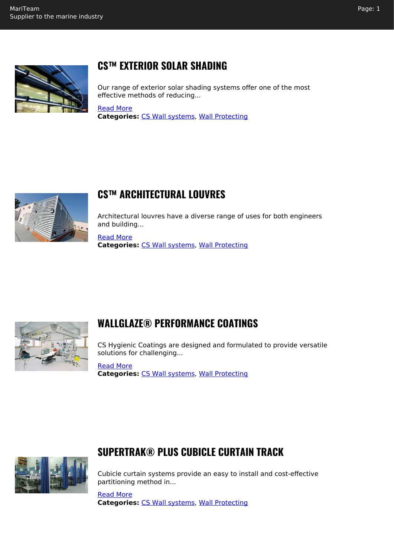

# **CS™ EXTERIOR SOLAR SHADING**

Our range of exterior solar shading systems offer one of the most effective methods of reducing...

#### [Read More](https://mariteam.dk/product/cs-exterior-solar-shading/) **Categories:** [CS Wall systems](https://mariteam.dk/product-category/wall-protecting/cs-wall-systems/), [Wall Protecting](https://mariteam.dk/product-category/wall-protecting/)



# **CS™ ARCHITECTURAL LOUVRES**

Architectural louvres have a diverse range of uses for both engineers and building...

[Read More](https://mariteam.dk/product/cs-architectural-louvres/) **Categories:** [CS Wall systems](https://mariteam.dk/product-category/wall-protecting/cs-wall-systems/), [Wall Protecting](https://mariteam.dk/product-category/wall-protecting/)



## **WALLGLAZE® PERFORMANCE COATINGS**

CS Hygienic Coatings are designed and formulated to provide versatile solutions for challenging...

[Read More](https://mariteam.dk/product/wallglaze-performance-coatings/) **Categories:** [CS Wall systems](https://mariteam.dk/product-category/wall-protecting/cs-wall-systems/), [Wall Protecting](https://mariteam.dk/product-category/wall-protecting/)



## **SUPERTRAK® PLUS CUBICLE CURTAIN TRACK**

Cubicle curtain systems provide an easy to install and cost-effective partitioning method in...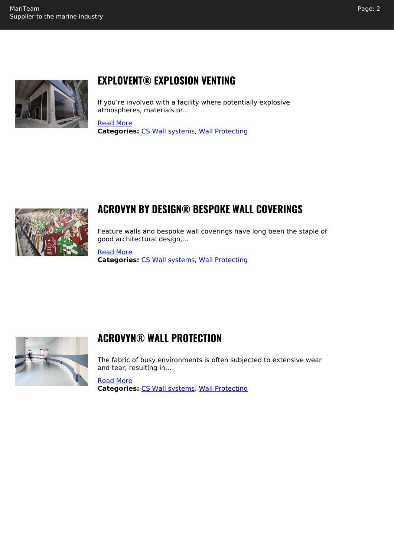

## **EXPLOVENT® EXPLOSION VENTING**

If you're involved with a facility where potentially explosive atmospheres, materials or...

#### [Read More](https://mariteam.dk/product/explovent-explosion-venting/)

**Categories:** [CS Wall systems](https://mariteam.dk/product-category/wall-protecting/cs-wall-systems/), [Wall Protecting](https://mariteam.dk/product-category/wall-protecting/)



#### **ACROVYN BY DESIGN® BESPOKE WALL COVERINGS**

Feature walls and bespoke wall coverings have long been the staple of good architectural design,...

[Read More](https://mariteam.dk/product/acrovyn-by-design-bespoke-wall-coverings/) **Categories:** [CS Wall systems](https://mariteam.dk/product-category/wall-protecting/cs-wall-systems/), [Wall Protecting](https://mariteam.dk/product-category/wall-protecting/)



#### **ACROVYN® WALL PROTECTION**

The fabric of busy environments is often subjected to extensive wear and tear, resulting in...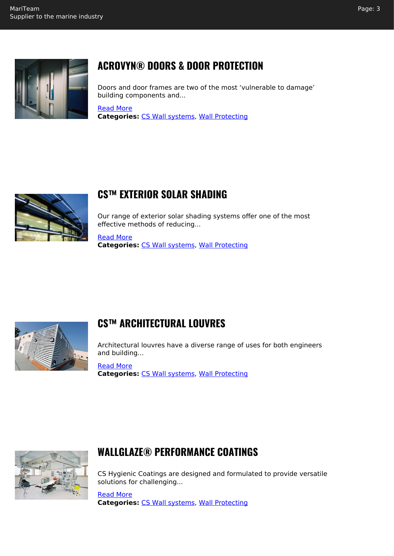

# **ACROVYN® DOORS & DOOR PROTECTION**

Doors and door frames are two of the most 'vulnerable to damage' building components and...

[Read More](https://mariteam.dk/product/acrovyn-doors-door-protection/) **Categories:** [CS Wall systems](https://mariteam.dk/product-category/wall-protecting/cs-wall-systems/), [Wall Protecting](https://mariteam.dk/product-category/wall-protecting/)



## **CS™ EXTERIOR SOLAR SHADING**

Our range of exterior solar shading systems offer one of the most effective methods of reducing...

[Read More](https://mariteam.dk/product/cs-exterior-solar-shading/) **Categories:** [CS Wall systems](https://mariteam.dk/product-category/wall-protecting/cs-wall-systems/), [Wall Protecting](https://mariteam.dk/product-category/wall-protecting/)



#### **CS™ ARCHITECTURAL LOUVRES**

Architectural louvres have a diverse range of uses for both engineers and building...

[Read More](https://mariteam.dk/product/cs-architectural-louvres/) **Categories:** [CS Wall systems](https://mariteam.dk/product-category/wall-protecting/cs-wall-systems/), [Wall Protecting](https://mariteam.dk/product-category/wall-protecting/)



## **WALLGLAZE® PERFORMANCE COATINGS**

CS Hygienic Coatings are designed and formulated to provide versatile solutions for challenging...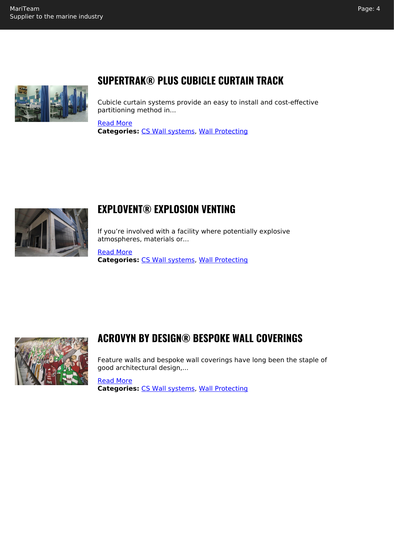

## **SUPERTRAK® PLUS CUBICLE CURTAIN TRACK**

Cubicle curtain systems provide an easy to install and cost-effective partitioning method in...

#### [Read More](https://mariteam.dk/product/supertrak-plus-cubicle-curtain-track/)

**Categories:** [CS Wall systems](https://mariteam.dk/product-category/wall-protecting/cs-wall-systems/), [Wall Protecting](https://mariteam.dk/product-category/wall-protecting/)



#### **EXPLOVENT® EXPLOSION VENTING**

If you're involved with a facility where potentially explosive atmospheres, materials or...

[Read More](https://mariteam.dk/product/explovent-explosion-venting/) **Categories:** [CS Wall systems](https://mariteam.dk/product-category/wall-protecting/cs-wall-systems/), [Wall Protecting](https://mariteam.dk/product-category/wall-protecting/)



## **ACROVYN BY DESIGN® BESPOKE WALL COVERINGS**

Feature walls and bespoke wall coverings have long been the staple of good architectural design,...